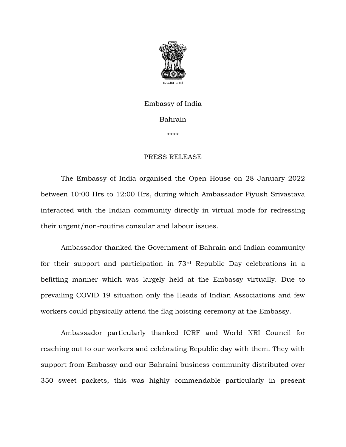

## Embassy of India Bahrain

\*\*\*\*

## PRESS RELEASE

The Embassy of India organised the Open House on 28 January 2022 between 10:00 Hrs to 12:00 Hrs, during which Ambassador Piyush Srivastava interacted with the Indian community directly in virtual mode for redressing their urgent/non-routine consular and labour issues.

Ambassador thanked the Government of Bahrain and Indian community for their support and participation in 73rd Republic Day celebrations in a befitting manner which was largely held at the Embassy virtually. Due to prevailing COVID 19 situation only the Heads of Indian Associations and few workers could physically attend the flag hoisting ceremony at the Embassy.

Ambassador particularly thanked ICRF and World NRI Council for reaching out to our workers and celebrating Republic day with them. They with support from Embassy and our Bahraini business community distributed over 350 sweet packets, this was highly commendable particularly in present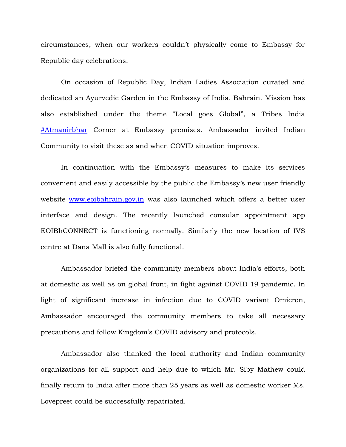circumstances, when our workers couldn't physically come to Embassy for Republic day celebrations.

On occasion of Republic Day, Indian Ladies Association curated and dedicated an Ayurvedic Garden in the Embassy of India, Bahrain. Mission has also established under the theme "Local goes Global", a Tribes India [#Atmanirbhar](https://www.facebook.com/hashtag/atmanirbhar?__eep__=6&__cft__%5b0%5d=AZXoB4pkaSwpm_b1mrigEUp3JsVONmD_uaSbp0kYK7_bpXLdzTI-vqZRudfXN2upVDi0pqYW_81zy_lK2wqqUDi9x3BsXfRQv1Mi8nD4eTQFB3O4DG84ObI6IB70Gzrlxq0&__tn__=*NK-R) Corner at Embassy premises. Ambassador invited Indian Community to visit these as and when COVID situation improves.

In continuation with the Embassy's measures to make its services convenient and easily accessible by the public the Embassy's new user friendly website [www.eoibahrain.gov.in](http://www.eoibahrain.gov.in/?fbclid=IwAR0m7Ip68kKaiCeg3adim0tqOnBxefQ7fcEwE7E3P4X7-rSmV3VKVYoWp6A) was also launched which offers a better user interface and design. The recently launched consular appointment app EOIBhCONNECT is functioning normally. Similarly the new location of IVS centre at Dana Mall is also fully functional.

Ambassador briefed the community members about India's efforts, both at domestic as well as on global front, in fight against COVID 19 pandemic. In light of significant increase in infection due to COVID variant Omicron, Ambassador encouraged the community members to take all necessary precautions and follow Kingdom's COVID advisory and protocols.

Ambassador also thanked the local authority and Indian community organizations for all support and help due to which Mr. Siby Mathew could finally return to India after more than 25 years as well as domestic worker Ms. Lovepreet could be successfully repatriated.